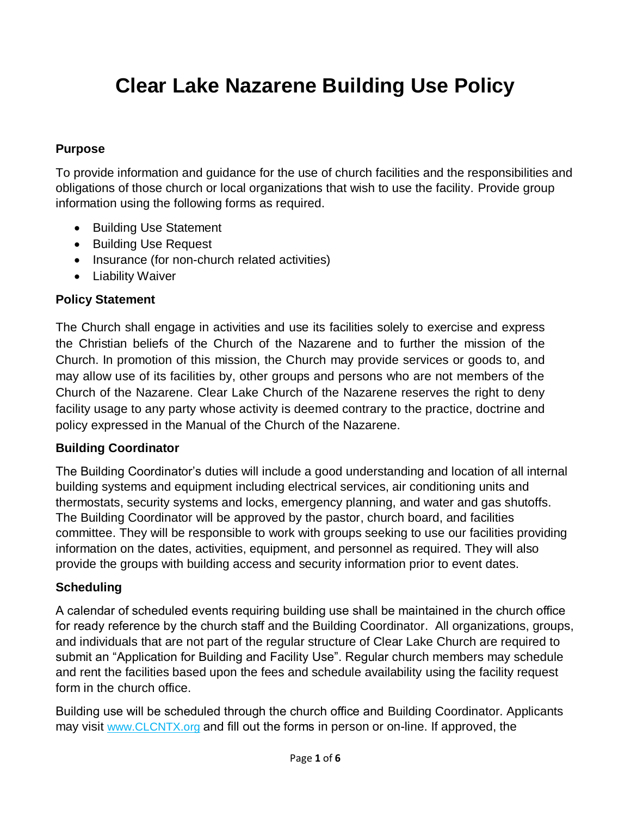# **Clear Lake Nazarene Building Use Policy**

## **Purpose**

To provide information and guidance for the use of church facilities and the responsibilities and obligations of those church or local organizations that wish to use the facility. Provide group information using the following forms as required.

- Building Use Statement
- Building Use Request
- Insurance (for non-church related activities)
- Liability Waiver

## **Policy Statement**

The Church shall engage in activities and use its facilities solely to exercise and express the Christian beliefs of the Church of the Nazarene and to further the mission of the Church. In promotion of this mission, the Church may provide services or goods to, and may allow use of its facilities by, other groups and persons who are not members of the Church of the Nazarene. Clear Lake Church of the Nazarene reserves the right to deny facility usage to any party whose activity is deemed contrary to the practice, doctrine and policy expressed in the Manual of the Church of the Nazarene.

### **Building Coordinator**

The Building Coordinator's duties will include a good understanding and location of all internal building systems and equipment including electrical services, air conditioning units and thermostats, security systems and locks, emergency planning, and water and gas shutoffs. The Building Coordinator will be approved by the pastor, church board, and facilities committee. They will be responsible to work with groups seeking to use our facilities providing information on the dates, activities, equipment, and personnel as required. They will also provide the groups with building access and security information prior to event dates.

### **Scheduling**

A calendar of scheduled events requiring building use shall be maintained in the church office for ready reference by the church staff and the Building Coordinator. All organizations, groups, and individuals that are not part of the regular structure of Clear Lake Church are required to submit an "Application for Building and Facility Use". Regular church members may schedule and rent the facilities based upon the fees and schedule availability using the facility request form in the church office.

Building use will be scheduled through the church office and Building Coordinator. Applicants may visit www.CLCNTX.org and fill out the forms in person or on-line. If approved, the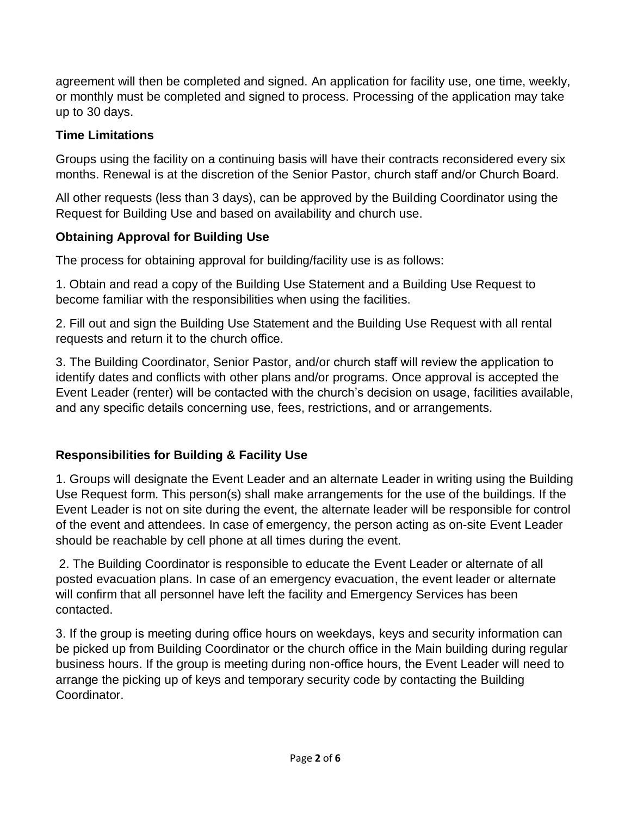agreement will then be completed and signed. An application for facility use, one time, weekly, or monthly must be completed and signed to process. Processing of the application may take up to 30 days.

## **Time Limitations**

Groups using the facility on a continuing basis will have their contracts reconsidered every six months. Renewal is at the discretion of the Senior Pastor, church staff and/or Church Board.

All other requests (less than 3 days), can be approved by the Building Coordinator using the Request for Building Use and based on availability and church use.

## **Obtaining Approval for Building Use**

The process for obtaining approval for building/facility use is as follows:

1. Obtain and read a copy of the Building Use Statement and a Building Use Request to become familiar with the responsibilities when using the facilities.

2. Fill out and sign the Building Use Statement and the Building Use Request with all rental requests and return it to the church office.

3. The Building Coordinator, Senior Pastor, and/or church staff will review the application to identify dates and conflicts with other plans and/or programs. Once approval is accepted the Event Leader (renter) will be contacted with the church's decision on usage, facilities available, and any specific details concerning use, fees, restrictions, and or arrangements.

## **Responsibilities for Building & Facility Use**

1. Groups will designate the Event Leader and an alternate Leader in writing using the Building Use Request form. This person(s) shall make arrangements for the use of the buildings. If the Event Leader is not on site during the event, the alternate leader will be responsible for control of the event and attendees. In case of emergency, the person acting as on-site Event Leader should be reachable by cell phone at all times during the event.

2. The Building Coordinator is responsible to educate the Event Leader or alternate of all posted evacuation plans. In case of an emergency evacuation, the event leader or alternate will confirm that all personnel have left the facility and Emergency Services has been contacted.

3. If the group is meeting during office hours on weekdays, keys and security information can be picked up from Building Coordinator or the church office in the Main building during regular business hours. If the group is meeting during non-office hours, the Event Leader will need to arrange the picking up of keys and temporary security code by contacting the Building Coordinator.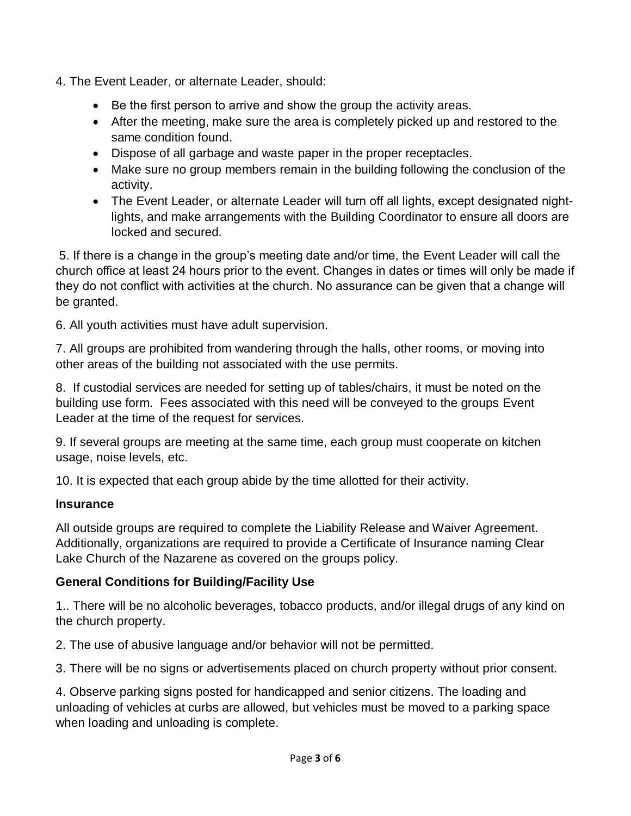- 4. The Event Leader, or alternate Leader, should:
	- Be the first person to arrive and show the group the activity areas.
	- After the meeting, make sure the area is completely picked up and restored to the same condition found.
	- Dispose of all garbage and waste paper in the proper receptacles.
	- Make sure no group members remain in the building following the conclusion of the activity.
	- The Event Leader, or alternate Leader will turn off all lights, except designated nightlights, and make arrangements with the Building Coordinator to ensure all doors are locked and secured.

5. If there is a change in the group's meeting date and/or time, the Event Leader will call the church office at least 24 hours prior to the event. Changes in dates or times will only be made if they do not conflict with activities at the church. No assurance can be given that a change will be granted.

6. All youth activities must have adult supervision.

7. All groups are prohibited from wandering through the halls, other rooms, or moving into other areas of the building not associated with the use permits.

8. If custodial services are needed for setting up of tables/chairs, it must be noted on the building use form. Fees associated with this need will be conveyed to the groups Event Leader at the time of the request for services.

9. If several groups are meeting at the same time, each group must cooperate on kitchen usage, noise levels, etc.

10. It is expected that each group abide by the time allotted for their activity.

#### **Insurance**

All outside groups are required to complete the Liability Release and Waiver Agreement. Additionally, organizations are required to provide a Certificate of Insurance naming Clear Lake Church of the Nazarene as covered on the groups policy.

### **General Conditions for Building/Facility Use**

1.. There will be no alcoholic beverages, tobacco products, and/or illegal drugs of any kind on the church property.

2. The use of abusive language and/or behavior will not be permitted.

3. There will be no signs or advertisements placed on church property without prior consent.

4. Observe parking signs posted for handicapped and senior citizens. The loading and unloading of vehicles at curbs are allowed, but vehicles must be moved to a parking space when loading and unloading is complete.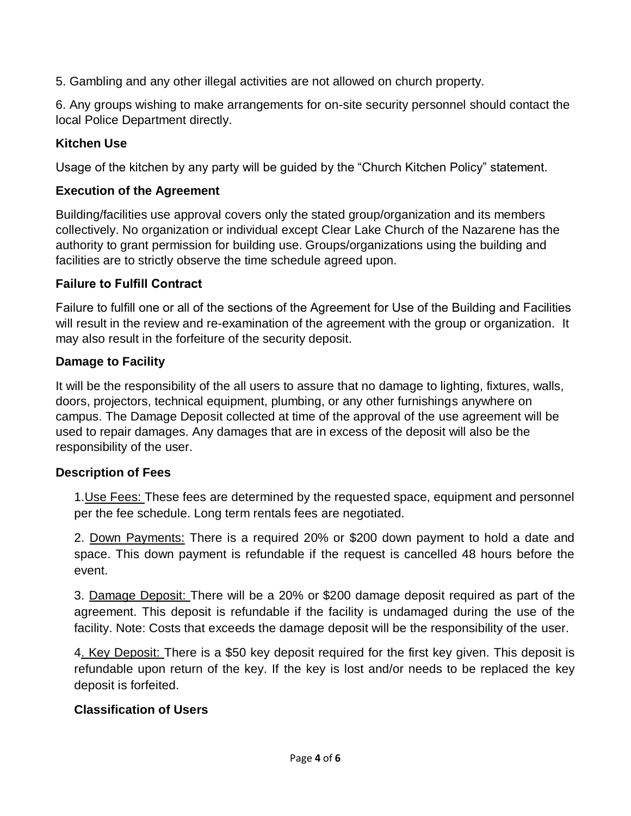5. Gambling and any other illegal activities are not allowed on church property.

6. Any groups wishing to make arrangements for on-site security personnel should contact the local Police Department directly.

## **Kitchen Use**

Usage of the kitchen by any party will be guided by the "Church Kitchen Policy" statement.

## **Execution of the Agreement**

Building/facilities use approval covers only the stated group/organization and its members collectively. No organization or individual except Clear Lake Church of the Nazarene has the authority to grant permission for building use. Groups/organizations using the building and facilities are to strictly observe the time schedule agreed upon.

### **Failure to Fulfill Contract**

Failure to fulfill one or all of the sections of the Agreement for Use of the Building and Facilities will result in the review and re-examination of the agreement with the group or organization. It may also result in the forfeiture of the security deposit.

## **Damage to Facility**

It will be the responsibility of the all users to assure that no damage to lighting, fixtures, walls, doors, projectors, technical equipment, plumbing, or any other furnishings anywhere on campus. The Damage Deposit collected at time of the approval of the use agreement will be used to repair damages. Any damages that are in excess of the deposit will also be the responsibility of the user.

### **Description of Fees**

1.Use Fees: These fees are determined by the requested space, equipment and personnel per the fee schedule. Long term rentals fees are negotiated.

2. Down Payments: There is a required 20% or \$200 down payment to hold a date and space. This down payment is refundable if the request is cancelled 48 hours before the event.

3. Damage Deposit: There will be a 20% or \$200 damage deposit required as part of the agreement. This deposit is refundable if the facility is undamaged during the use of the facility. Note: Costs that exceeds the damage deposit will be the responsibility of the user.

4. Key Deposit: There is a \$50 key deposit required for the first key given. This deposit is refundable upon return of the key. If the key is lost and/or needs to be replaced the key deposit is forfeited.

### **Classification of Users**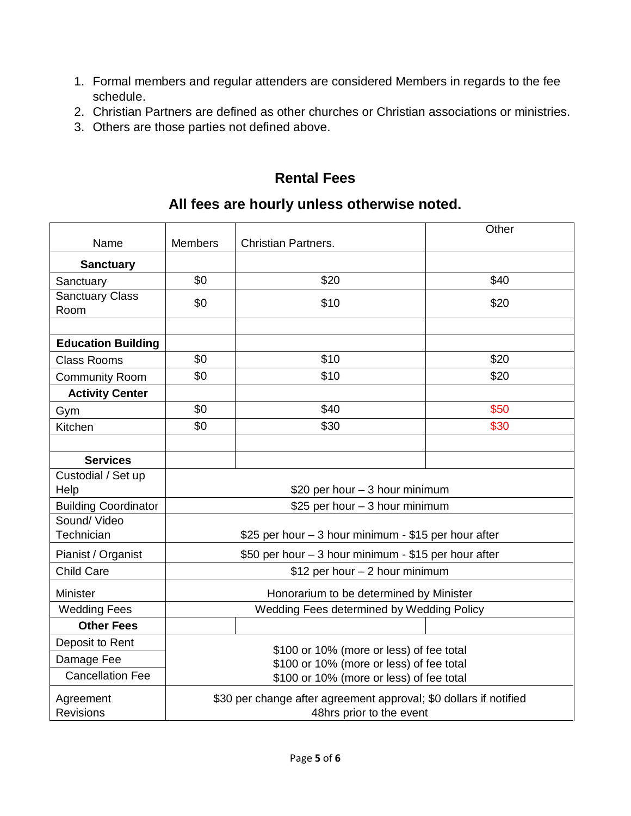- 1. Formal members and regular attenders are considered Members in regards to the fee schedule.
- 2. Christian Partners are defined as other churches or Christian associations or ministries.
- 3. Others are those parties not defined above.

## **Rental Fees**

## **All fees are hourly unless otherwise noted.**

|                                |                                                                                               |                                                      | Other |  |  |  |  |  |  |  |
|--------------------------------|-----------------------------------------------------------------------------------------------|------------------------------------------------------|-------|--|--|--|--|--|--|--|
| Name                           | <b>Members</b>                                                                                |                                                      |       |  |  |  |  |  |  |  |
| <b>Sanctuary</b>               |                                                                                               |                                                      |       |  |  |  |  |  |  |  |
| Sanctuary                      | \$0                                                                                           | \$20                                                 | \$40  |  |  |  |  |  |  |  |
| <b>Sanctuary Class</b><br>Room | \$0                                                                                           | \$10                                                 | \$20  |  |  |  |  |  |  |  |
| <b>Education Building</b>      |                                                                                               |                                                      |       |  |  |  |  |  |  |  |
| <b>Class Rooms</b>             | \$0                                                                                           | \$10                                                 | \$20  |  |  |  |  |  |  |  |
| <b>Community Room</b>          | \$0                                                                                           | \$10                                                 | \$20  |  |  |  |  |  |  |  |
| <b>Activity Center</b>         |                                                                                               |                                                      |       |  |  |  |  |  |  |  |
| Gym                            | \$0                                                                                           | \$40                                                 | \$50  |  |  |  |  |  |  |  |
| Kitchen                        | \$0                                                                                           | \$30                                                 | \$30  |  |  |  |  |  |  |  |
|                                |                                                                                               |                                                      |       |  |  |  |  |  |  |  |
| <b>Services</b>                |                                                                                               |                                                      |       |  |  |  |  |  |  |  |
| Custodial / Set up             |                                                                                               |                                                      |       |  |  |  |  |  |  |  |
| Help                           |                                                                                               | \$20 per hour - 3 hour minimum                       |       |  |  |  |  |  |  |  |
| <b>Building Coordinator</b>    |                                                                                               | \$25 per hour - 3 hour minimum                       |       |  |  |  |  |  |  |  |
| Sound/Video<br>Technician      |                                                                                               |                                                      |       |  |  |  |  |  |  |  |
|                                |                                                                                               | \$25 per hour – 3 hour minimum - \$15 per hour after |       |  |  |  |  |  |  |  |
| Pianist / Organist             |                                                                                               | \$50 per hour - 3 hour minimum - \$15 per hour after |       |  |  |  |  |  |  |  |
| <b>Child Care</b>              |                                                                                               | \$12 per hour - 2 hour minimum                       |       |  |  |  |  |  |  |  |
| <b>Minister</b>                |                                                                                               | Honorarium to be determined by Minister              |       |  |  |  |  |  |  |  |
| <b>Wedding Fees</b>            | Wedding Fees determined by Wedding Policy                                                     |                                                      |       |  |  |  |  |  |  |  |
| <b>Other Fees</b>              |                                                                                               |                                                      |       |  |  |  |  |  |  |  |
| Deposit to Rent                |                                                                                               | \$100 or 10% (more or less) of fee total             |       |  |  |  |  |  |  |  |
| Damage Fee                     | \$100 or 10% (more or less) of fee total                                                      |                                                      |       |  |  |  |  |  |  |  |
| <b>Cancellation Fee</b>        | \$100 or 10% (more or less) of fee total                                                      |                                                      |       |  |  |  |  |  |  |  |
| Agreement<br><b>Revisions</b>  | \$30 per change after agreement approval; \$0 dollars if notified<br>48hrs prior to the event |                                                      |       |  |  |  |  |  |  |  |